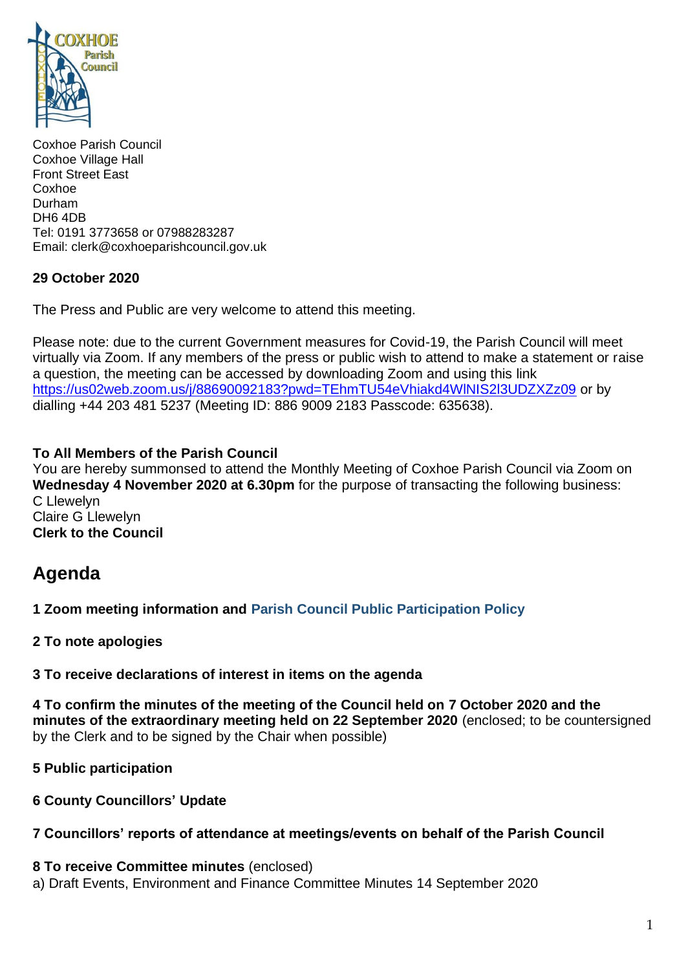

Coxhoe Parish Council Coxhoe Village Hall Front Street East Coxhoe Durham DH6 4DB Tel: 0191 3773658 or 07988283287 Email: clerk@coxhoeparishcouncil.gov.uk

#### **29 October 2020**

The Press and Public are very welcome to attend this meeting.

Please note: due to the current Government measures for Covid-19, the Parish Council will meet virtually via Zoom. If any members of the press or public wish to attend to make a statement or raise a question, the meeting can be accessed by downloading Zoom and using this link <https://us02web.zoom.us/j/88690092183?pwd=TEhmTU54eVhiakd4WlNIS2l3UDZXZz09> or by dialling +44 203 481 5237 (Meeting ID: 886 9009 2183 Passcode: 635638).

#### **To All Members of the Parish Council**

You are hereby summonsed to attend the Monthly Meeting of Coxhoe Parish Council via Zoom on **Wednesday 4 November 2020 at 6.30pm** for the purpose of transacting the following business: C Llewelyn Claire G Llewelyn

**Clerk to the Council**

# **Agenda**

**1 Zoom meeting information and [Parish Council Public Participation Policy](http://coxhoeparishcouncil.gov.uk/important-documents-and-policies/public-participation-policy-fmarch-2020-review-date-march-2022/)**

**2 To note apologies**

**3 To receive declarations of interest in items on the agenda**

**4 To confirm the minutes of the meeting of the Council held on 7 October 2020 and the minutes of the extraordinary meeting held on 22 September 2020** (enclosed; to be countersigned by the Clerk and to be signed by the Chair when possible)

**5 Public participation**

**6 County Councillors' Update**

# **7 Councillors' reports of attendance at meetings/events on behalf of the Parish Council**

**8 To receive Committee minutes** (enclosed) a) Draft Events, Environment and Finance Committee Minutes 14 September 2020